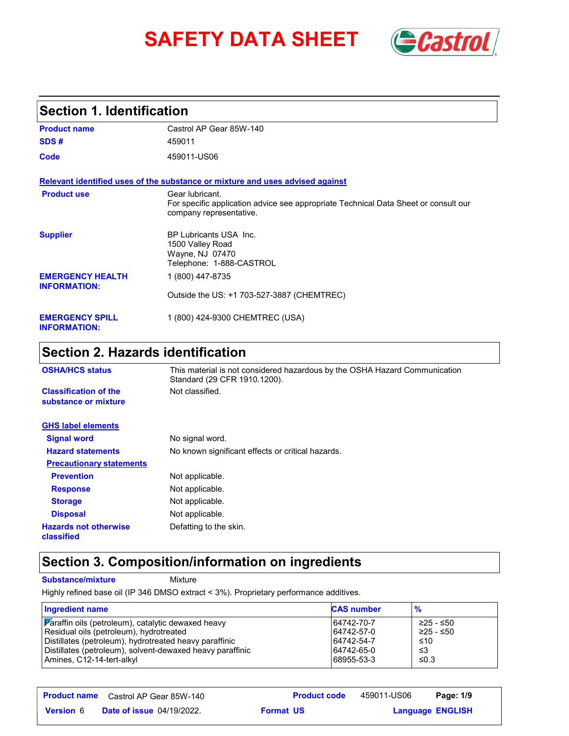# **SAFETY DATA SHEET** *Castrol*



### **Section 1. Identification**

| <b>Product name</b>                            | Castrol AP Gear 85W-140                                                                                                           |
|------------------------------------------------|-----------------------------------------------------------------------------------------------------------------------------------|
| SDS#                                           | 459011                                                                                                                            |
| Code                                           | 459011-US06                                                                                                                       |
|                                                | Relevant identified uses of the substance or mixture and uses advised against                                                     |
| <b>Product use</b>                             | Gear lubricant.<br>For specific application advice see appropriate Technical Data Sheet or consult our<br>company representative. |
| <b>Supplier</b>                                | BP Lubricants USA Inc.<br>1500 Valley Road<br>Wayne, NJ 07470<br>Telephone: 1-888-CASTROL                                         |
| <b>EMERGENCY HEALTH</b><br><b>INFORMATION:</b> | 1 (800) 447-8735                                                                                                                  |
|                                                | Outside the US: +1 703-527-3887 (CHEMTREC)                                                                                        |
| <b>EMERGENCY SPILL</b><br><b>INFORMATION:</b>  | 1 (800) 424-9300 CHEMTREC (USA)                                                                                                   |

# **Section 2. Hazards identification**

| <b>OSHA/HCS status</b>                               | This material is not considered hazardous by the OSHA Hazard Communication<br>Standard (29 CFR 1910.1200). |
|------------------------------------------------------|------------------------------------------------------------------------------------------------------------|
| <b>Classification of the</b><br>substance or mixture | Not classified.                                                                                            |
| <b>GHS label elements</b>                            |                                                                                                            |
| <b>Signal word</b>                                   | No signal word.                                                                                            |
| <b>Hazard statements</b>                             | No known significant effects or critical hazards.                                                          |
| <b>Precautionary statements</b>                      |                                                                                                            |
| <b>Prevention</b>                                    | Not applicable.                                                                                            |
| <b>Response</b>                                      | Not applicable.                                                                                            |
| <b>Storage</b>                                       | Not applicable.                                                                                            |
| <b>Disposal</b>                                      | Not applicable.                                                                                            |
| <b>Hazards not otherwise</b><br>classified           | Defatting to the skin.                                                                                     |

# **Section 3. Composition/information on ingredients**

**Substance/mixture Mixture** 

Highly refined base oil (IP 346 DMSO extract < 3%). Proprietary performance additives.

| <b>Ingredient name</b>                                                 | <b>CAS number</b> | $\frac{9}{6}$ |
|------------------------------------------------------------------------|-------------------|---------------|
| $\boxed{\mathbf{P}}$ araffin oils (petroleum), catalytic dewaxed heavy | 64742-70-7        | ≥25 - ≤50     |
| Residual oils (petroleum), hydrotreated                                | 64742-57-0        | ≥25 - ≤50     |
| Distillates (petroleum), hydrotreated heavy paraffinic                 | 64742-54-7        | ≤10           |
| Distillates (petroleum), solvent-dewaxed heavy paraffinic              | 64742-65-0        | -≤3           |
| Amines, C12-14-tert-alkyl                                              | 68955-53-3        | ≤0.3          |

|                  | <b>Product name</b> Castrol AP Gear 85W-140 | <b>Product code</b> | 459011-US06 | Page: 1/9               |
|------------------|---------------------------------------------|---------------------|-------------|-------------------------|
| <b>Version 6</b> | <b>Date of issue 04/19/2022.</b>            | <b>Format US</b>    |             | <b>Language ENGLISH</b> |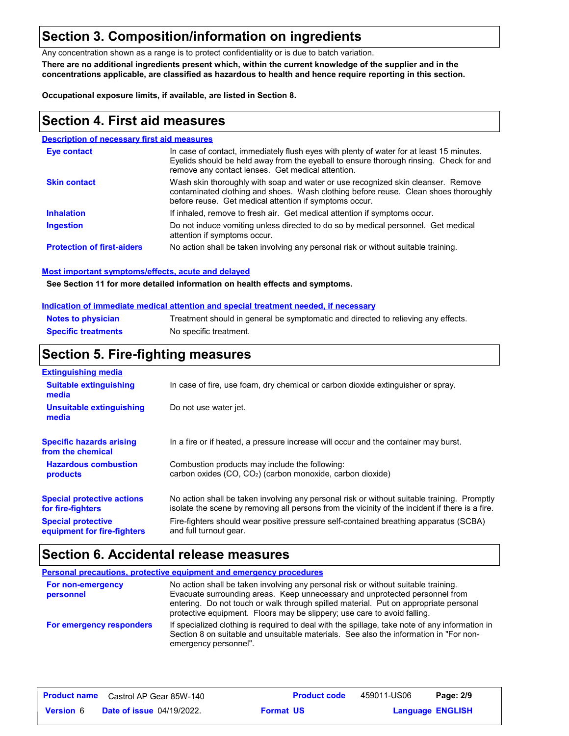### **Section 3. Composition/information on ingredients**

Any concentration shown as a range is to protect confidentiality or is due to batch variation.

**There are no additional ingredients present which, within the current knowledge of the supplier and in the concentrations applicable, are classified as hazardous to health and hence require reporting in this section.**

**Occupational exposure limits, if available, are listed in Section 8.**

### **Section 4. First aid measures**

#### **Description of necessary first aid measures**

| <b>Eve contact</b>                | In case of contact, immediately flush eyes with plenty of water for at least 15 minutes.<br>Eyelids should be held away from the eyeball to ensure thorough rinsing. Check for and<br>remove any contact lenses. Get medical attention. |
|-----------------------------------|-----------------------------------------------------------------------------------------------------------------------------------------------------------------------------------------------------------------------------------------|
| <b>Skin contact</b>               | Wash skin thoroughly with soap and water or use recognized skin cleanser. Remove<br>contaminated clothing and shoes. Wash clothing before reuse. Clean shoes thoroughly<br>before reuse. Get medical attention if symptoms occur.       |
| <b>Inhalation</b>                 | If inhaled, remove to fresh air. Get medical attention if symptoms occur.                                                                                                                                                               |
| <b>Ingestion</b>                  | Do not induce vomiting unless directed to do so by medical personnel. Get medical<br>attention if symptoms occur.                                                                                                                       |
| <b>Protection of first-aiders</b> | No action shall be taken involving any personal risk or without suitable training.                                                                                                                                                      |

#### **Most important symptoms/effects, acute and delayed**

**See Section 11 for more detailed information on health effects and symptoms.**

#### **Indication of immediate medical attention and special treatment needed, if necessary**

| <b>Notes to physician</b>  | Treatment should in general be symptomatic and directed to relieving any effects. |
|----------------------------|-----------------------------------------------------------------------------------|
| <b>Specific treatments</b> | No specific treatment.                                                            |

### **Section 5. Fire-fighting measures**

| <b>Extinguishing media</b>                               |                                                                                                                                                                                                |
|----------------------------------------------------------|------------------------------------------------------------------------------------------------------------------------------------------------------------------------------------------------|
| <b>Suitable extinguishing</b><br>media                   | In case of fire, use foam, dry chemical or carbon dioxide extinguisher or spray.                                                                                                               |
| Unsuitable extinguishing<br>media                        | Do not use water jet.                                                                                                                                                                          |
| <b>Specific hazards arising</b><br>from the chemical     | In a fire or if heated, a pressure increase will occur and the container may burst.                                                                                                            |
| <b>Hazardous combustion</b><br>products                  | Combustion products may include the following:<br>carbon oxides (CO, CO <sub>2</sub> ) (carbon monoxide, carbon dioxide)                                                                       |
| <b>Special protective actions</b><br>for fire-fighters   | No action shall be taken involving any personal risk or without suitable training. Promptly<br>isolate the scene by removing all persons from the vicinity of the incident if there is a fire. |
| <b>Special protective</b><br>equipment for fire-fighters | Fire-fighters should wear positive pressure self-contained breathing apparatus (SCBA)<br>and full turnout gear.                                                                                |

## **Section 6. Accidental release measures**

| <b>Personal precautions, protective equipment and emergency procedures</b> |                                                                                                                                                                                                                                                                                                                                       |  |
|----------------------------------------------------------------------------|---------------------------------------------------------------------------------------------------------------------------------------------------------------------------------------------------------------------------------------------------------------------------------------------------------------------------------------|--|
| For non-emergency<br>personnel                                             | No action shall be taken involving any personal risk or without suitable training.<br>Evacuate surrounding areas. Keep unnecessary and unprotected personnel from<br>entering. Do not touch or walk through spilled material. Put on appropriate personal<br>protective equipment. Floors may be slippery; use care to avoid falling. |  |
| For emergency responders                                                   | If specialized clothing is required to deal with the spillage, take note of any information in<br>Section 8 on suitable and unsuitable materials. See also the information in "For non-<br>emergency personnel".                                                                                                                      |  |

|                  | <b>Product name</b> Castrol AP Gear 85W-140 | <b>Product code</b> | 459011-US06 | Page: 2/9               |  |
|------------------|---------------------------------------------|---------------------|-------------|-------------------------|--|
| <b>Version 6</b> | <b>Date of issue 04/19/2022.</b>            | <b>Format US</b>    |             | <b>Language ENGLISH</b> |  |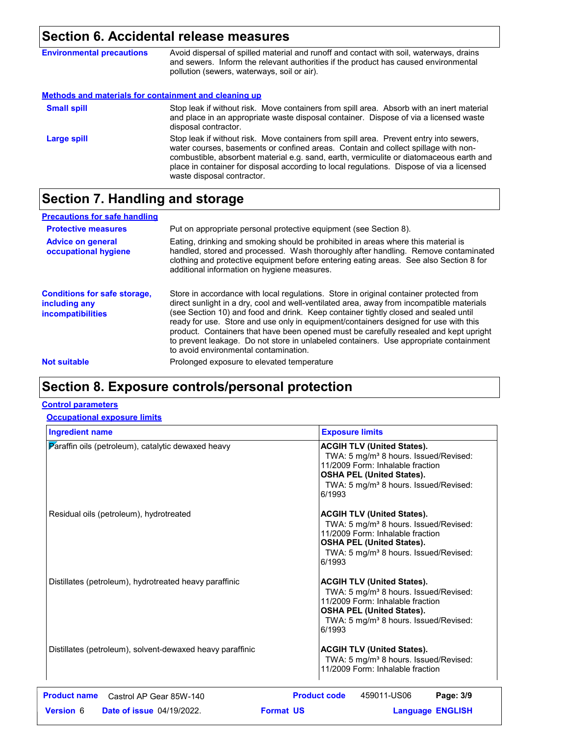# **Section 6. Accidental release measures**

| <b>Environmental precautions</b>                             | Avoid dispersal of spilled material and runoff and contact with soil, waterways, drains<br>and sewers. Inform the relevant authorities if the product has caused environmental<br>pollution (sewers, waterways, soil or air).                                                                                                                                                                      |
|--------------------------------------------------------------|----------------------------------------------------------------------------------------------------------------------------------------------------------------------------------------------------------------------------------------------------------------------------------------------------------------------------------------------------------------------------------------------------|
| <b>Methods and materials for containment and cleaning up</b> |                                                                                                                                                                                                                                                                                                                                                                                                    |
| <b>Small spill</b>                                           | Stop leak if without risk. Move containers from spill area. Absorb with an inert material<br>and place in an appropriate waste disposal container. Dispose of via a licensed waste<br>disposal contractor.                                                                                                                                                                                         |
| Large spill                                                  | Stop leak if without risk. Move containers from spill area. Prevent entry into sewers,<br>water courses, basements or confined areas. Contain and collect spillage with non-<br>combustible, absorbent material e.g. sand, earth, vermiculite or diatomaceous earth and<br>place in container for disposal according to local regulations. Dispose of via a licensed<br>waste disposal contractor. |

# **Section 7. Handling and storage**

| <b>Precautions for safe handling</b>                                             |                                                                                                                                                                                                                                                                                                                                                                                                                                                                                                                                                                                               |
|----------------------------------------------------------------------------------|-----------------------------------------------------------------------------------------------------------------------------------------------------------------------------------------------------------------------------------------------------------------------------------------------------------------------------------------------------------------------------------------------------------------------------------------------------------------------------------------------------------------------------------------------------------------------------------------------|
| <b>Protective measures</b>                                                       | Put on appropriate personal protective equipment (see Section 8).                                                                                                                                                                                                                                                                                                                                                                                                                                                                                                                             |
| <b>Advice on general</b><br>occupational hygiene                                 | Eating, drinking and smoking should be prohibited in areas where this material is<br>handled, stored and processed. Wash thoroughly after handling. Remove contaminated<br>clothing and protective equipment before entering eating areas. See also Section 8 for<br>additional information on hygiene measures.                                                                                                                                                                                                                                                                              |
| <b>Conditions for safe storage,</b><br>including any<br><i>incompatibilities</i> | Store in accordance with local regulations. Store in original container protected from<br>direct sunlight in a dry, cool and well-ventilated area, away from incompatible materials<br>(see Section 10) and food and drink. Keep container tightly closed and sealed until<br>ready for use. Store and use only in equipment/containers designed for use with this<br>product. Containers that have been opened must be carefully resealed and kept upright<br>to prevent leakage. Do not store in unlabeled containers. Use appropriate containment<br>to avoid environmental contamination. |
| <b>Not suitable</b>                                                              | Prolonged exposure to elevated temperature                                                                                                                                                                                                                                                                                                                                                                                                                                                                                                                                                    |
|                                                                                  |                                                                                                                                                                                                                                                                                                                                                                                                                                                                                                                                                                                               |

# **Section 8. Exposure controls/personal protection**

### **Control parameters**

### **Occupational exposure limits**

| <b>Ingredient name</b>                                    | <b>Exposure limits</b>                                                                                                                                                                                                        |
|-----------------------------------------------------------|-------------------------------------------------------------------------------------------------------------------------------------------------------------------------------------------------------------------------------|
| Paraffin oils (petroleum), catalytic dewaxed heavy        | <b>ACGIH TLV (United States).</b><br>TWA: 5 mg/m <sup>3</sup> 8 hours. Issued/Revised:<br>11/2009 Form: Inhalable fraction<br><b>OSHA PEL (United States).</b><br>TWA: 5 mg/m <sup>3</sup> 8 hours. Issued/Revised:<br>6/1993 |
| Residual oils (petroleum), hydrotreated                   | <b>ACGIH TLV (United States).</b><br>TWA: 5 mg/m <sup>3</sup> 8 hours. Issued/Revised:<br>11/2009 Form: Inhalable fraction<br><b>OSHA PEL (United States).</b><br>TWA: 5 mg/m <sup>3</sup> 8 hours. Issued/Revised:<br>6/1993 |
| Distillates (petroleum), hydrotreated heavy paraffinic    | <b>ACGIH TLV (United States).</b><br>TWA: 5 mg/m <sup>3</sup> 8 hours. Issued/Revised:<br>11/2009 Form: Inhalable fraction<br><b>OSHA PEL (United States).</b><br>TWA: 5 mg/m <sup>3</sup> 8 hours. Issued/Revised:<br>6/1993 |
| Distillates (petroleum), solvent-dewaxed heavy paraffinic | <b>ACGIH TLV (United States).</b><br>TWA: 5 mg/m <sup>3</sup> 8 hours. Issued/Revised:<br>11/2009 Form: Inhalable fraction                                                                                                    |
| <b>Product name</b><br>Castrol AP Gear 85W-140            | <b>Product code</b><br>Page: 3/9<br>459011-US06                                                                                                                                                                               |
| <b>Version 6</b><br><b>Date of issue 04/19/2022.</b>      | <b>Format US</b><br><b>Language ENGLISH</b>                                                                                                                                                                                   |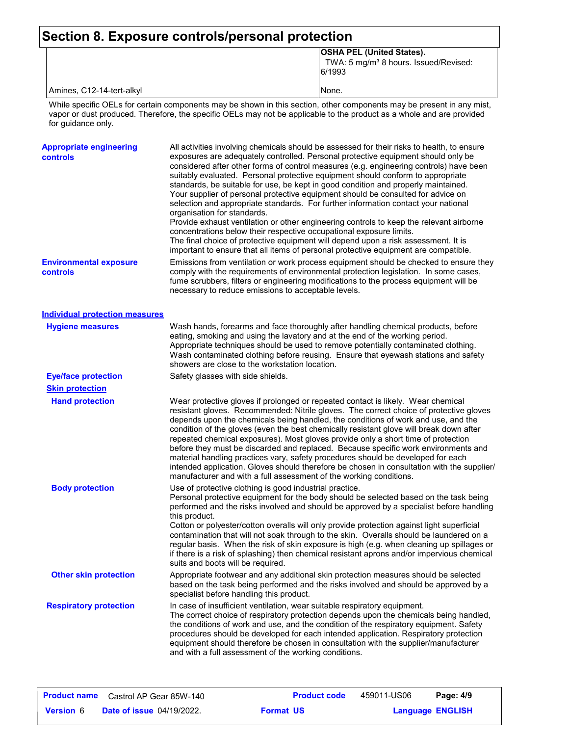### **Section 8. Exposure controls/personal protection**

|  | <b>OSHA PEL (United States).</b>                            |
|--|-------------------------------------------------------------|
|  | TWA: 5 mg/m <sup>3</sup> 8 hours. Issued/Revised:<br>6/1993 |

Amines, C12-14-tert-alkyl None.

While specific OELs for certain components may be shown in this section, other components may be present in any mist, vapor or dust produced. Therefore, the specific OELs may not be applicable to the product as a whole and are provided for guidance only.

| <b>Appropriate engineering</b><br>controls | All activities involving chemicals should be assessed for their risks to health, to ensure<br>exposures are adequately controlled. Personal protective equipment should only be<br>considered after other forms of control measures (e.g. engineering controls) have been<br>suitably evaluated. Personal protective equipment should conform to appropriate<br>standards, be suitable for use, be kept in good condition and properly maintained.<br>Your supplier of personal protective equipment should be consulted for advice on<br>selection and appropriate standards. For further information contact your national<br>organisation for standards.<br>Provide exhaust ventilation or other engineering controls to keep the relevant airborne<br>concentrations below their respective occupational exposure limits.<br>The final choice of protective equipment will depend upon a risk assessment. It is<br>important to ensure that all items of personal protective equipment are compatible. |
|--------------------------------------------|------------------------------------------------------------------------------------------------------------------------------------------------------------------------------------------------------------------------------------------------------------------------------------------------------------------------------------------------------------------------------------------------------------------------------------------------------------------------------------------------------------------------------------------------------------------------------------------------------------------------------------------------------------------------------------------------------------------------------------------------------------------------------------------------------------------------------------------------------------------------------------------------------------------------------------------------------------------------------------------------------------|
| <b>Environmental exposure</b><br>controls  | Emissions from ventilation or work process equipment should be checked to ensure they<br>comply with the requirements of environmental protection legislation. In some cases,<br>fume scrubbers, filters or engineering modifications to the process equipment will be<br>necessary to reduce emissions to acceptable levels.                                                                                                                                                                                                                                                                                                                                                                                                                                                                                                                                                                                                                                                                              |
| <b>Individual protection measures</b>      |                                                                                                                                                                                                                                                                                                                                                                                                                                                                                                                                                                                                                                                                                                                                                                                                                                                                                                                                                                                                            |
| <b>Hygiene measures</b>                    | Wash hands, forearms and face thoroughly after handling chemical products, before<br>eating, smoking and using the lavatory and at the end of the working period.<br>Appropriate techniques should be used to remove potentially contaminated clothing.<br>Wash contaminated clothing before reusing. Ensure that eyewash stations and safety<br>showers are close to the workstation location.                                                                                                                                                                                                                                                                                                                                                                                                                                                                                                                                                                                                            |
| <b>Eye/face protection</b>                 | Safety glasses with side shields.                                                                                                                                                                                                                                                                                                                                                                                                                                                                                                                                                                                                                                                                                                                                                                                                                                                                                                                                                                          |
| <b>Skin protection</b>                     |                                                                                                                                                                                                                                                                                                                                                                                                                                                                                                                                                                                                                                                                                                                                                                                                                                                                                                                                                                                                            |
| <b>Hand protection</b>                     | Wear protective gloves if prolonged or repeated contact is likely. Wear chemical<br>resistant gloves. Recommended: Nitrile gloves. The correct choice of protective gloves<br>depends upon the chemicals being handled, the conditions of work and use, and the<br>condition of the gloves (even the best chemically resistant glove will break down after<br>repeated chemical exposures). Most gloves provide only a short time of protection<br>before they must be discarded and replaced. Because specific work environments and<br>material handling practices vary, safety procedures should be developed for each<br>intended application. Gloves should therefore be chosen in consultation with the supplier/<br>manufacturer and with a full assessment of the working conditions.                                                                                                                                                                                                              |
| <b>Body protection</b>                     | Use of protective clothing is good industrial practice.<br>Personal protective equipment for the body should be selected based on the task being<br>performed and the risks involved and should be approved by a specialist before handling<br>this product.<br>Cotton or polyester/cotton overalls will only provide protection against light superficial<br>contamination that will not soak through to the skin. Overalls should be laundered on a<br>regular basis. When the risk of skin exposure is high (e.g. when cleaning up spillages or<br>if there is a risk of splashing) then chemical resistant aprons and/or impervious chemical<br>suits and boots will be required.                                                                                                                                                                                                                                                                                                                      |
| <b>Other skin protection</b>               | Appropriate footwear and any additional skin protection measures should be selected<br>based on the task being performed and the risks involved and should be approved by a<br>specialist before handling this product.                                                                                                                                                                                                                                                                                                                                                                                                                                                                                                                                                                                                                                                                                                                                                                                    |
| <b>Respiratory protection</b>              | In case of insufficient ventilation, wear suitable respiratory equipment.<br>The correct choice of respiratory protection depends upon the chemicals being handled,<br>the conditions of work and use, and the condition of the respiratory equipment. Safety<br>procedures should be developed for each intended application. Respiratory protection<br>equipment should therefore be chosen in consultation with the supplier/manufacturer<br>and with a full assessment of the working conditions.                                                                                                                                                                                                                                                                                                                                                                                                                                                                                                      |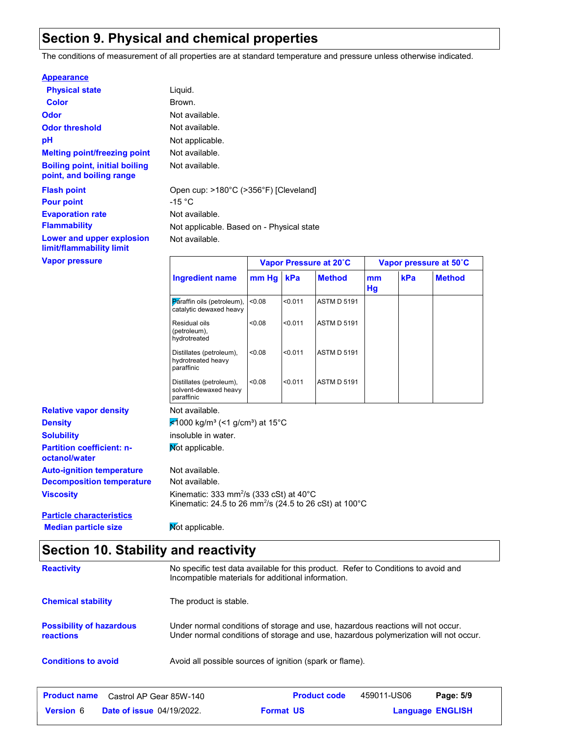### **Section 9. Physical and chemical properties**

The conditions of measurement of all properties are at standard temperature and pressure unless otherwise indicated.

#### **Appearance**

| <b>Physical state</b>                                             | Liquid.                    |
|-------------------------------------------------------------------|----------------------------|
| Color                                                             | Brown.                     |
| Odor                                                              | Not available.             |
| <b>Odor threshold</b>                                             | Not available.             |
| рH                                                                | Not applicable.            |
| <b>Melting point/freezing point</b>                               | Not available.             |
| <b>Boiling point, initial boiling</b><br>point, and boiling range | Not available.             |
| <b>Flash point</b><br><b>Pour point</b>                           | Open cup: >180°C<br>-15 °C |
| <b>Evaporation rate</b>                                           | Not available.             |
| <b>Flammability</b>                                               | Not applicable. Ba         |
| Lower and upper explosion<br>limit/flammability limit             | Not available.             |
| <b>Vapor pressure</b>                                             |                            |

**vailable.** vailable. pplicable. Based on - Physical state cup: >180°C (>356°F) [Cleveland]

| <b>Vapor pressure</b>                             |                                                                      |                                                                                                                                       |         | Vapor Pressure at 20°C |          | Vapor pressure at 50°C |               |
|---------------------------------------------------|----------------------------------------------------------------------|---------------------------------------------------------------------------------------------------------------------------------------|---------|------------------------|----------|------------------------|---------------|
|                                                   | <b>Ingredient name</b>                                               | mm Hg                                                                                                                                 | kPa     | <b>Method</b>          | mm<br>Hg | kPa                    | <b>Method</b> |
|                                                   | Paraffin oils (petroleum),<br>catalytic dewaxed heavy                | < 0.08                                                                                                                                | < 0.011 | <b>ASTM D 5191</b>     |          |                        |               |
|                                                   | Residual oils<br>(petroleum),<br>hydrotreated                        | < 0.08                                                                                                                                | < 0.011 | <b>ASTM D 5191</b>     |          |                        |               |
|                                                   | Distillates (petroleum),<br>hydrotreated heavy<br>paraffinic         | < 0.08                                                                                                                                | < 0.011 | <b>ASTM D 5191</b>     |          |                        |               |
|                                                   | Distillates (petroleum),<br>solvent-dewaxed heavy<br>paraffinic      | < 0.08                                                                                                                                | < 0.011 | <b>ASTM D 5191</b>     |          |                        |               |
| <b>Relative vapor density</b>                     | Not available.                                                       |                                                                                                                                       |         |                        |          |                        |               |
| <b>Density</b>                                    | $\frac{1}{2}$ 1000 kg/m <sup>3</sup> (<1 g/cm <sup>3</sup> ) at 15°C |                                                                                                                                       |         |                        |          |                        |               |
| <b>Solubility</b>                                 | insoluble in water.                                                  |                                                                                                                                       |         |                        |          |                        |               |
| <b>Partition coefficient: n-</b><br>octanol/water | Not applicable.                                                      |                                                                                                                                       |         |                        |          |                        |               |
| <b>Auto-ignition temperature</b>                  | Not available.                                                       |                                                                                                                                       |         |                        |          |                        |               |
| <b>Decomposition temperature</b>                  | Not available.                                                       |                                                                                                                                       |         |                        |          |                        |               |
| <b>Viscosity</b>                                  |                                                                      | Kinematic: 333 mm <sup>2</sup> /s (333 cSt) at 40 $^{\circ}$ C<br>Kinematic: 24.5 to 26 mm <sup>2</sup> /s (24.5 to 26 cSt) at 100 °C |         |                        |          |                        |               |

**Particle characteristics Median particle size** Not applicable.

### **Section 10. Stability and reactivity**

| <b>Reactivity</b>                              | No specific test data available for this product. Refer to Conditions to avoid and<br>Incompatible materials for additional information.                                |
|------------------------------------------------|-------------------------------------------------------------------------------------------------------------------------------------------------------------------------|
| <b>Chemical stability</b>                      | The product is stable.                                                                                                                                                  |
| <b>Possibility of hazardous</b><br>reactions   | Under normal conditions of storage and use, hazardous reactions will not occur.<br>Under normal conditions of storage and use, hazardous polymerization will not occur. |
| <b>Conditions to avoid</b>                     | Avoid all possible sources of ignition (spark or flame).                                                                                                                |
| <b>Product name</b><br>Castrol AP Gear 85W-140 | <b>Product code</b><br>459011-US06<br>Page: 5/9                                                                                                                         |

**Date of issue** 04/19/2022. **Version** 6 **Format Language**

**Format US** 

**Language ENGLISH**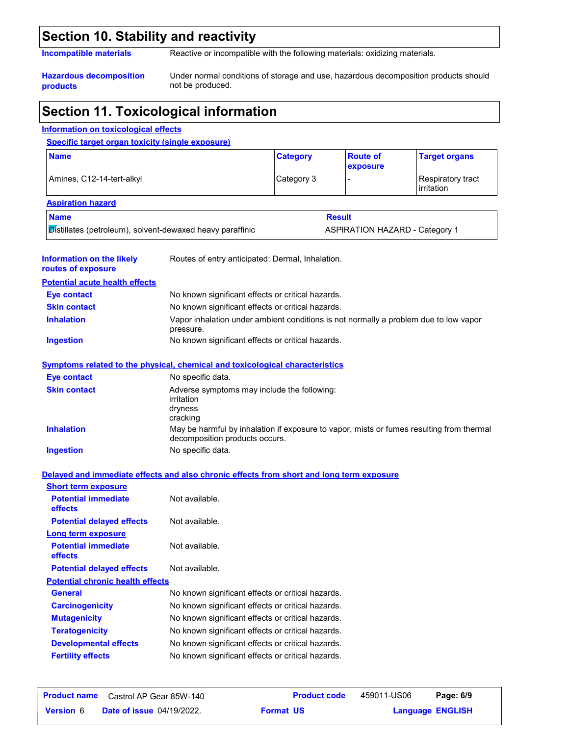### **Section 10. Stability and reactivity**

**Incompatible materials** Reactive or incompatible with the following materials: oxidizing materials.

**Hazardous decomposition products**

Under normal conditions of storage and use, hazardous decomposition products should not be produced.

### **Section 11. Toxicological information**

#### **Information on the likely routes of exposure Ingestion** No known significant effects or critical hazards. **Skin contact** No known significant effects or critical hazards. **Eye contact** No known significant effects or critical hazards. **General General** No known significant effects or critical hazards. **Carcinogenicity** No known significant effects or critical hazards. **Mutagenicity** No known significant effects or critical hazards. **Teratogenicity** No known significant effects or critical hazards. **Developmental effects** No known significant effects or critical hazards. **Fertility effects** No known significant effects or critical hazards. **Symptoms related to the physical, chemical and toxicological characteristics Skin contact Ingestion** No specific data. Adverse symptoms may include the following: irritation dryness cracking **Eye contact** No specific data. **Potential chronic health effects Delayed and immediate effects and also chronic effects from short and long term exposure Specific target organ toxicity (single exposure)** Amines, C12-14-tert-alkyl **Category 3** - Respiratory tract irritation **Name Category Aspiration hazard Name Result** Distillates (petroleum), solvent-dewaxed heavy paraffinic **ASPIRATION HAZARD** - Category 1 **Route of exposure Target organs** Routes of entry anticipated: Dermal, Inhalation. **Potential acute health effects Potential immediate effects** Not available. **Short term exposure Potential delayed effects** Not available. **Potential immediate effects** Not available. **Long term exposure Potential delayed effects** Not available. **Information on toxicological effects Inhalation** Vapor inhalation under ambient conditions is not normally a problem due to low vapor pressure. **Inhalation** May be harmful by inhalation if exposure to vapor, mists or fumes resulting from thermal decomposition products occurs.

| <b>Product name</b> | Castrol AP Gear 85W-140          | <b>Product code</b> | 459011-US06             | Page: 6/9 |  |
|---------------------|----------------------------------|---------------------|-------------------------|-----------|--|
| <b>Version 6</b>    | <b>Date of issue 04/19/2022.</b> | <b>Format US</b>    | <b>Language ENGLISH</b> |           |  |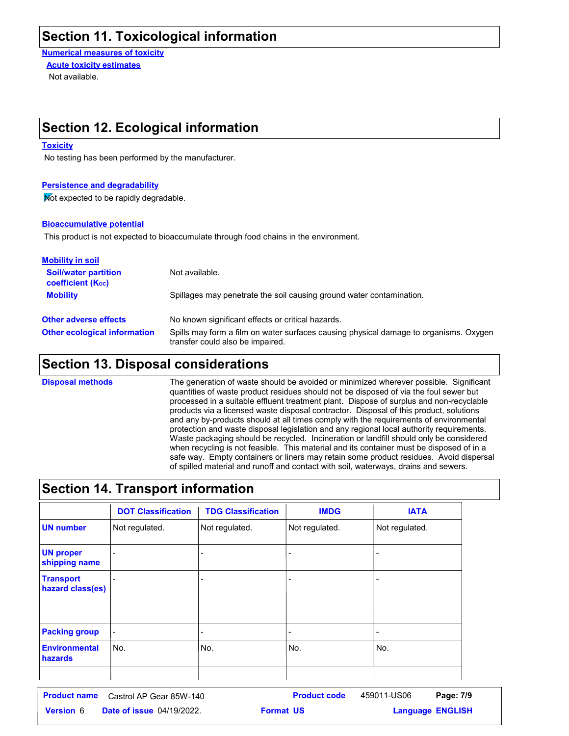### **Section 11. Toxicological information**

**Numerical measures of toxicity** Not available. **Acute toxicity estimates**

### **Section 12. Ecological information**

#### **Toxicity**

No testing has been performed by the manufacturer.

#### **Persistence and degradability**

Not expected to be rapidly degradable.

#### **Bioaccumulative potential**

This product is not expected to bioaccumulate through food chains in the environment.

| <b>Mobility in soil</b>                                 |                                                                                                                           |
|---------------------------------------------------------|---------------------------------------------------------------------------------------------------------------------------|
| <b>Soil/water partition</b><br><b>coefficient (Koc)</b> | Not available.                                                                                                            |
| <b>Mobility</b>                                         | Spillages may penetrate the soil causing ground water contamination.                                                      |
| <b>Other adverse effects</b>                            | No known significant effects or critical hazards.                                                                         |
| <b>Other ecological information</b>                     | Spills may form a film on water surfaces causing physical damage to organisms. Oxygen<br>transfer could also be impaired. |

### **Section 13. Disposal considerations**

The generation of waste should be avoided or minimized wherever possible. Significant quantities of waste product residues should not be disposed of via the foul sewer but processed in a suitable effluent treatment plant. Dispose of surplus and non-recyclable products via a licensed waste disposal contractor. Disposal of this product, solutions and any by-products should at all times comply with the requirements of environmental protection and waste disposal legislation and any regional local authority requirements. Waste packaging should be recycled. Incineration or landfill should only be considered when recycling is not feasible. This material and its container must be disposed of in a safe way. Empty containers or liners may retain some product residues. Avoid dispersal of spilled material and runoff and contact with soil, waterways, drains and sewers. **Disposal methods**

### **Section 14. Transport information**

|                                      | <b>DOT Classification</b> | <b>TDG Classification</b> | <b>IMDG</b>    | <b>IATA</b>    |
|--------------------------------------|---------------------------|---------------------------|----------------|----------------|
| <b>UN number</b>                     | Not regulated.            | Not regulated.            | Not regulated. | Not regulated. |
| <b>UN proper</b><br>shipping name    |                           |                           |                |                |
| <b>Transport</b><br>hazard class(es) |                           |                           |                |                |
| <b>Packing group</b>                 |                           |                           |                | ٠              |
| <b>Environmental</b><br>hazards      | No.                       | No.                       | No.            | No.            |
|                                      |                           |                           |                |                |

| <b>Product name</b> | Castrol AP Gear 85W-140          | <b>Product code</b> | 459011-US06 | Page: 7/9               |  |
|---------------------|----------------------------------|---------------------|-------------|-------------------------|--|
| <b>Version</b> 6    | <b>Date of issue 04/19/2022.</b> | <b>Format US</b>    |             | <b>Language ENGLISH</b> |  |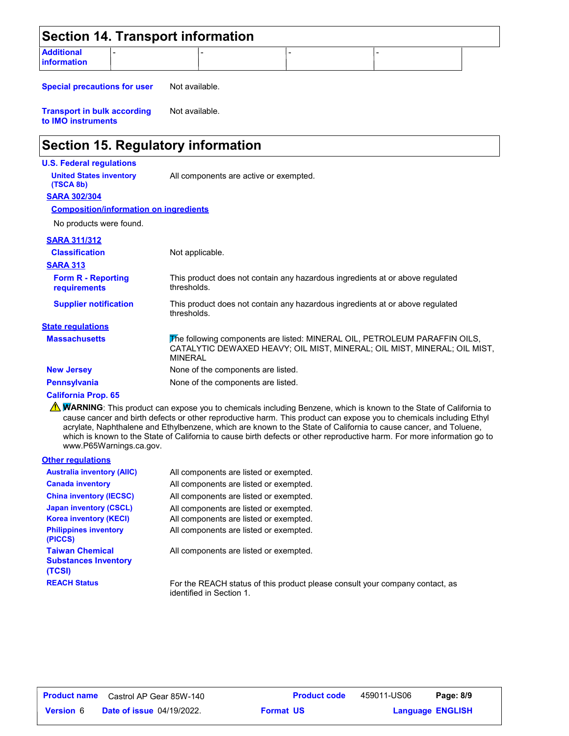|                                  | <b>Section 14. Transport information</b> |  |  |
|----------------------------------|------------------------------------------|--|--|
| <b>Additional</b><br>information |                                          |  |  |

**Special precautions for user** Not available.

**Transport in bulk according to IMO instruments** Not available.

### **Section 15. Regulatory information**

#### **U.S. Federal regulations**

**United States inventory** All components are active or exempted.

**SARA 302/304 (TSCA 8b)**

#### **Composition/information on ingredients**

No products were found.

#### **SARA 311/312**

| <b>Classification</b><br><b>SARA 313</b>  | Not applicable.                                                                                                                                                          |
|-------------------------------------------|--------------------------------------------------------------------------------------------------------------------------------------------------------------------------|
| <b>Form R - Reporting</b><br>requirements | This product does not contain any hazardous ingredients at or above regulated<br>thresholds.                                                                             |
| <b>Supplier notification</b>              | This product does not contain any hazardous ingredients at or above regulated<br>thresholds.                                                                             |
| <b>State regulations</b>                  |                                                                                                                                                                          |
| <b>Massachusetts</b>                      | The following components are listed: MINERAL OIL, PETROLEUM PARAFFIN OILS,<br>CATALYTIC DEWAXED HEAVY; OIL MIST, MINERAL; OIL MIST, MINERAL; OIL MIST,<br><b>MINERAL</b> |
| <b>New Jersey</b>                         | None of the components are listed.                                                                                                                                       |
| <b>Pennsylvania</b>                       | None of the components are listed.                                                                                                                                       |

#### **California Prop. 65**

**NARNING**: This product can expose you to chemicals including Benzene, which is known to the State of California to cause cancer and birth defects or other reproductive harm. This product can expose you to chemicals including Ethyl acrylate, Naphthalene and Ethylbenzene, which are known to the State of California to cause cancer, and Toluene, which is known to the State of California to cause birth defects or other reproductive harm. For more information go to www.P65Warnings.ca.gov.

#### **Other regulations**

| <b>Australia inventory (AIIC)</b>                               | All components are listed or exempted.                                                                   |
|-----------------------------------------------------------------|----------------------------------------------------------------------------------------------------------|
| <b>Canada inventory</b>                                         | All components are listed or exempted.                                                                   |
| <b>China inventory (IECSC)</b>                                  | All components are listed or exempted.                                                                   |
| <b>Japan inventory (CSCL)</b>                                   | All components are listed or exempted.                                                                   |
| <b>Korea inventory (KECI)</b>                                   | All components are listed or exempted.                                                                   |
| <b>Philippines inventory</b><br>(PICCS)                         | All components are listed or exempted.                                                                   |
| <b>Taiwan Chemical</b><br><b>Substances Inventory</b><br>(TCSI) | All components are listed or exempted.                                                                   |
| <b>REACH Status</b>                                             | For the REACH status of this product please consult your company contact, as<br>identified in Section 1. |